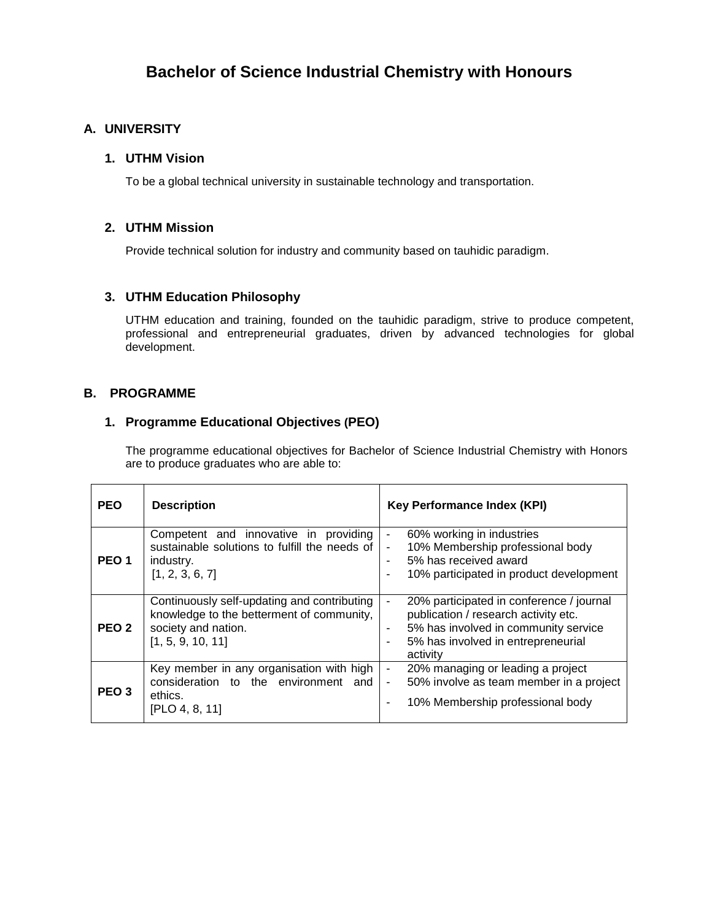# **Bachelor of Science Industrial Chemistry with Honours**

### **A. UNIVERSITY**

#### **1. UTHM Vision**

To be a global technical university in sustainable technology and transportation.

#### **2. UTHM Mission**

Provide technical solution for industry and community based on tauhidic paradigm.

#### **3. UTHM Education Philosophy**

UTHM education and training, founded on the tauhidic paradigm, strive to produce competent, professional and entrepreneurial graduates, driven by advanced technologies for global development.

#### **B. PROGRAMME**

#### **1. Programme Educational Objectives (PEO)**

The programme educational objectives for Bachelor of Science Industrial Chemistry with Honors are to produce graduates who are able to:

| <b>PEO</b>       | <b>Description</b>                                                                                                                   | <b>Key Performance Index (KPI)</b>                                                                                                                                                                                            |
|------------------|--------------------------------------------------------------------------------------------------------------------------------------|-------------------------------------------------------------------------------------------------------------------------------------------------------------------------------------------------------------------------------|
| PEO <sub>1</sub> | Competent and innovative in providing<br>sustainable solutions to fulfill the needs of<br>industry.<br>[1, 2, 3, 6, 7]               | 60% working in industries<br>$\qquad \qquad \blacksquare$<br>10% Membership professional body<br>$\blacksquare$<br>5% has received award<br>$\blacksquare$<br>10% participated in product development<br>۰                    |
| PEO <sub>2</sub> | Continuously self-updating and contributing<br>knowledge to the betterment of community,<br>society and nation.<br>[1, 5, 9, 10, 11] | 20% participated in conference / journal<br>$\overline{\phantom{a}}$<br>publication / research activity etc.<br>5% has involved in community service<br>$\blacksquare$<br>5% has involved in entrepreneurial<br>٠<br>activity |
| PEO <sub>3</sub> | Key member in any organisation with high<br>consideration to the environment and<br>ethics.<br>[PLO 4, 8, 11]                        | 20% managing or leading a project<br>$\blacksquare$<br>50% involve as team member in a project<br>$\blacksquare$<br>10% Membership professional body                                                                          |